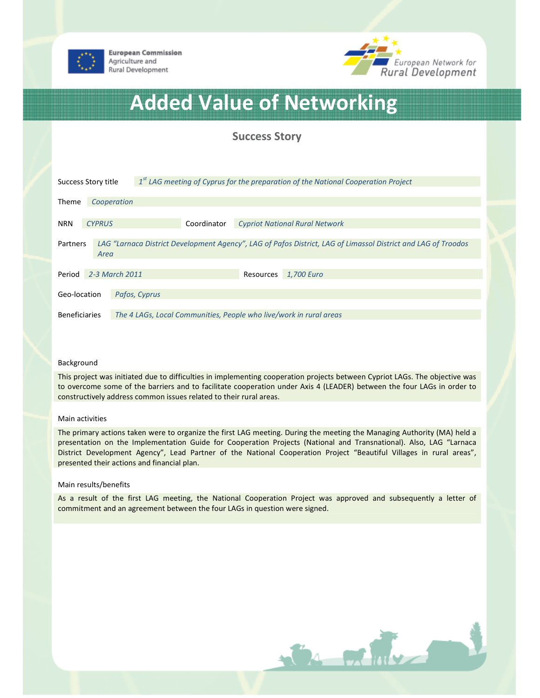



# Added Value of Networking

## Success Story

| Success Story title                                                                                                               |               | $1st$ LAG meeting of Cyprus for the preparation of the National Cooperation Project |                                                                    |             |                                       |            |  |
|-----------------------------------------------------------------------------------------------------------------------------------|---------------|-------------------------------------------------------------------------------------|--------------------------------------------------------------------|-------------|---------------------------------------|------------|--|
|                                                                                                                                   |               |                                                                                     |                                                                    |             |                                       |            |  |
| Theme                                                                                                                             |               | Cooperation                                                                         |                                                                    |             |                                       |            |  |
|                                                                                                                                   |               |                                                                                     |                                                                    |             |                                       |            |  |
| <b>NRN</b>                                                                                                                        | <b>CYPRUS</b> |                                                                                     |                                                                    | Coordinator | <b>Cypriot National Rural Network</b> |            |  |
|                                                                                                                                   |               |                                                                                     |                                                                    |             |                                       |            |  |
| LAG "Larnaca District Development Agency", LAG of Pafos District, LAG of Limassol District and LAG of Troodos<br>Partners<br>Area |               |                                                                                     |                                                                    |             |                                       |            |  |
|                                                                                                                                   |               |                                                                                     |                                                                    |             |                                       |            |  |
|                                                                                                                                   |               |                                                                                     |                                                                    |             |                                       |            |  |
| Period                                                                                                                            |               | 2-3 March 2011                                                                      |                                                                    |             | Resources                             | 1,700 Euro |  |
|                                                                                                                                   |               |                                                                                     |                                                                    |             |                                       |            |  |
| Geo-location                                                                                                                      |               |                                                                                     | Pafos, Cyprus                                                      |             |                                       |            |  |
|                                                                                                                                   |               |                                                                                     |                                                                    |             |                                       |            |  |
| <b>Beneficiaries</b>                                                                                                              |               |                                                                                     | The 4 LAGs, Local Communities, People who live/work in rural areas |             |                                       |            |  |

#### Background

This project was initiated due to difficulties in implementing cooperation projects between Cypriot LAGs. The objective was to overcome some of the barriers and to facilitate cooperation under Axis 4 (LEADER) between the four LAGs in order to constructively address common issues related to their rural areas.

#### Main activities

The primary actions taken were to organize the first LAG meeting. During the meeting the Managing Authority (MA) held a presentation on the Implementation Guide for Cooperation Projects (National and Transnational). Also, LAG "Larnaca District Development Agency", Lead Partner of the National Cooperation Project "Beautiful Villages in rural areas", presented their actions and financial plan.

#### Main results/benefits

As a result of the first LAG meeting, the National Cooperation Project was approved and subsequently a letter of commitment and an agreement between the four LAGs in question were signed.